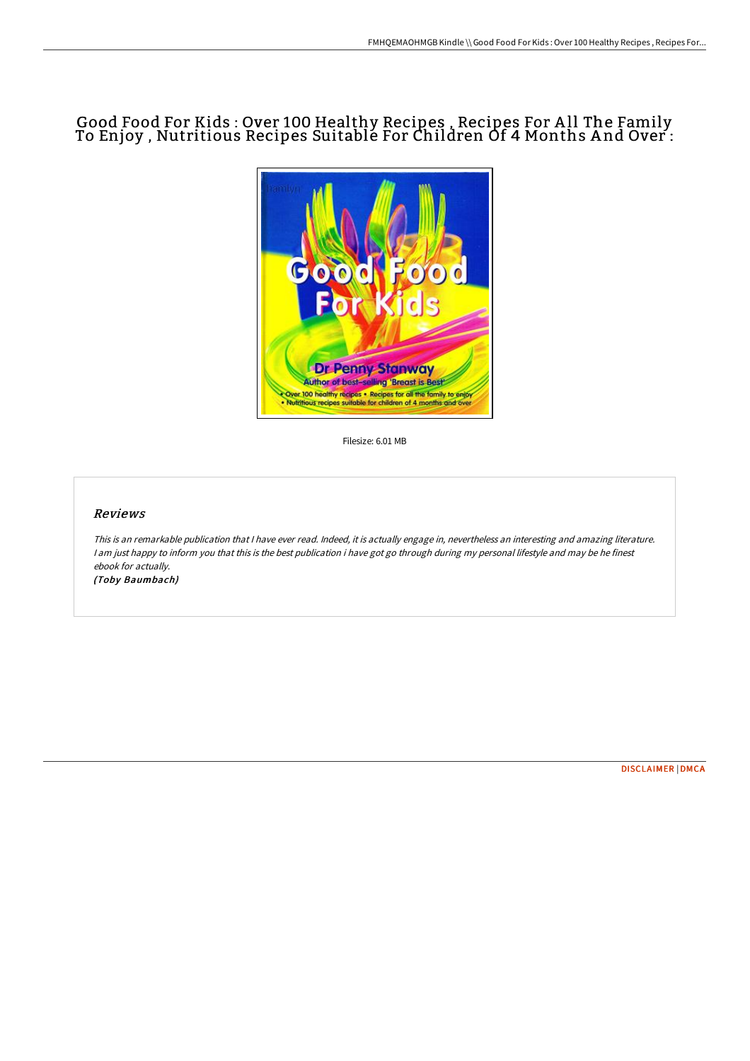# Good Food For Kids : Over 100 Healthy Recipes , Recipes For A ll The Family To Enjoy , Nutritious Recipes Suitablé For Children Of 4 Months And Over :



Filesize: 6.01 MB

### Reviews

This is an remarkable publication that I have ever read. Indeed, it is actually engage in, nevertheless an interesting and amazing literature. <sup>I</sup> am just happy to inform you that this is the best publication i have got go through during my personal lifestyle and may be he finest ebook for actually.

(Toby Baumbach)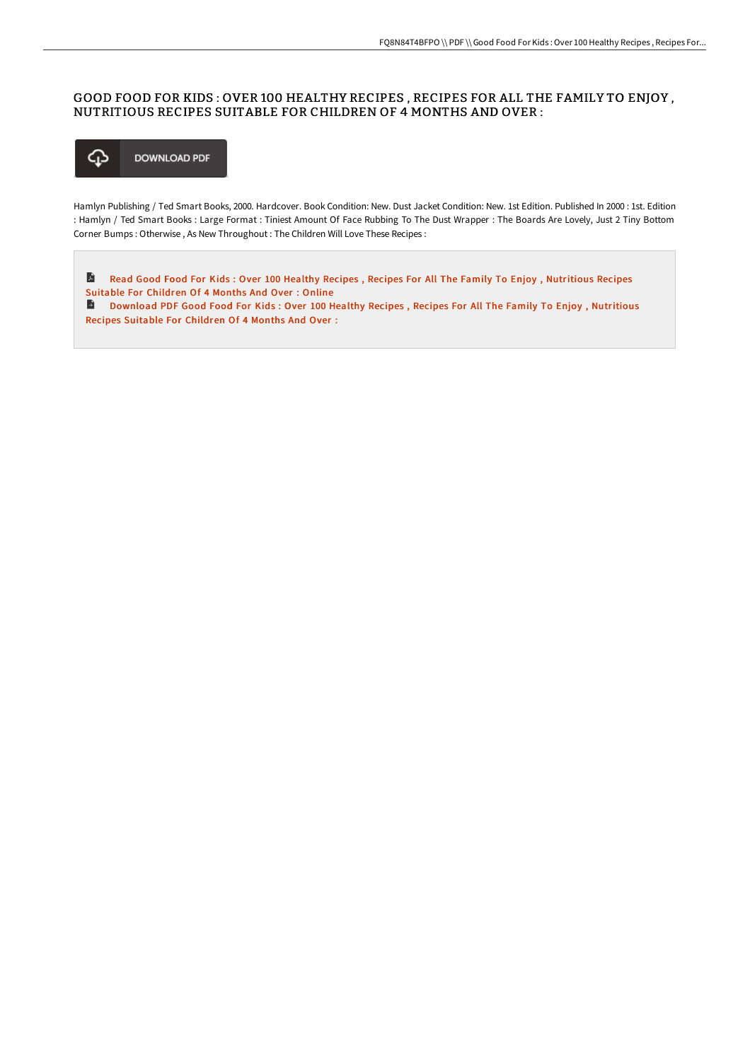## GOOD FOOD FOR KIDS : OVER 100 HEALTHY RECIPES , RECIPES FOR ALL THE FAMILY TO ENJOY , NUTRITIOUS RECIPES SUITABLE FOR CHILDREN OF 4 MONTHS AND OVER :



Hamlyn Publishing / Ted Smart Books, 2000. Hardcover. Book Condition: New. Dust Jacket Condition: New. 1st Edition. Published In 2000 : 1st. Edition : Hamlyn / Ted Smart Books : Large Format : Tiniest Amount Of Face Rubbing To The Dust Wrapper : The Boards Are Lovely, Just 2 Tiny Bottom Corner Bumps : Otherwise , As New Throughout : The Children Will Love These Recipes :

A Read Good Food For Kids : Over 100 Healthy Recipes , Recipes For All The Family To Enjoy , [Nutritious](http://digilib.live/good-food-for-kids-over-100-healthy-recipes-reci.html) Recipes Suitable For Children Of 4 Months And Over : Online

Download PDF Good Food For Kids : Over 100 Healthy Recipes , Recipes For All The Family To Enjoy , [Nutritious](http://digilib.live/good-food-for-kids-over-100-healthy-recipes-reci.html) Recipes Suitable For Children Of 4 Months And Over :